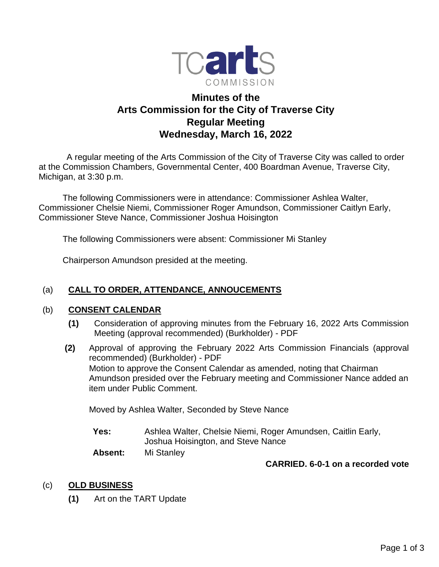

# **Minutes of the Arts Commission for the City of Traverse City Regular Meeting Wednesday, March 16, 2022**

 A regular meeting of the Arts Commission of the City of Traverse City was called to order at the Commission Chambers, Governmental Center, 400 Boardman Avenue, Traverse City, Michigan, at 3:30 p.m.

The following Commissioners were in attendance: Commissioner Ashlea Walter, Commissioner Chelsie Niemi, Commissioner Roger Amundson, Commissioner Caitlyn Early, Commissioner Steve Nance, Commissioner Joshua Hoisington

The following Commissioners were absent: Commissioner Mi Stanley

Chairperson Amundson presided at the meeting.

## (a) **CALL TO ORDER, ATTENDANCE, ANNOUCEMENTS**

#### (b) **CONSENT CALENDAR**

- **(1)** Consideration of approving minutes from the February 16, 2022 Arts Commission Meeting (approval recommended) (Burkholder) - PDF
- **(2)** Approval of approving the February 2022 Arts Commission Financials (approval recommended) (Burkholder) - PDF Motion to approve the Consent Calendar as amended, noting that Chairman Amundson presided over the February meeting and Commissioner Nance added an item under Public Comment.

Moved by Ashlea Walter, Seconded by Steve Nance

**Yes:** Ashlea Walter, Chelsie Niemi, Roger Amundsen, Caitlin Early, Joshua Hoisington, and Steve Nance

**Absent:** Mi Stanley

**CARRIED. 6-0-1 on a recorded vote**

## (c) **OLD BUSINESS**

**(1)** Art on the TART Update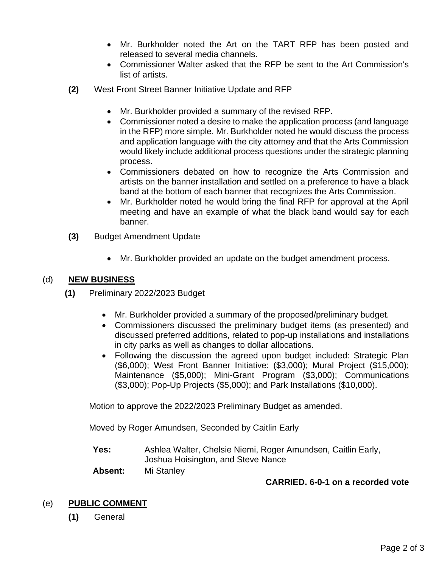- Mr. Burkholder noted the Art on the TART RFP has been posted and released to several media channels.
- Commissioner Walter asked that the RFP be sent to the Art Commission's list of artists.
- **(2)** West Front Street Banner Initiative Update and RFP
	- Mr. Burkholder provided a summary of the revised RFP.
	- Commissioner noted a desire to make the application process (and language in the RFP) more simple. Mr. Burkholder noted he would discuss the process and application language with the city attorney and that the Arts Commission would likely include additional process questions under the strategic planning process.
	- Commissioners debated on how to recognize the Arts Commission and artists on the banner installation and settled on a preference to have a black band at the bottom of each banner that recognizes the Arts Commission.
	- Mr. Burkholder noted he would bring the final RFP for approval at the April meeting and have an example of what the black band would say for each banner.
- **(3)** Budget Amendment Update
	- Mr. Burkholder provided an update on the budget amendment process.

## (d) **NEW BUSINESS**

- **(1)** Preliminary 2022/2023 Budget
	- Mr. Burkholder provided a summary of the proposed/preliminary budget.
	- Commissioners discussed the preliminary budget items (as presented) and discussed preferred additions, related to pop-up installations and installations in city parks as well as changes to dollar allocations.
	- Following the discussion the agreed upon budget included: Strategic Plan (\$6,000); West Front Banner Initiative: (\$3,000); Mural Project (\$15,000); Maintenance (\$5,000); Mini-Grant Program (\$3,000); Communications (\$3,000); Pop-Up Projects (\$5,000); and Park Installations (\$10,000).

Motion to approve the 2022/2023 Preliminary Budget as amended.

Moved by Roger Amundsen, Seconded by Caitlin Early

**Yes:** Ashlea Walter, Chelsie Niemi, Roger Amundsen, Caitlin Early, Joshua Hoisington, and Steve Nance

**Absent:** Mi Stanley

#### **CARRIED. 6-0-1 on a recorded vote**

## (e) **PUBLIC COMMENT**

**(1)** General